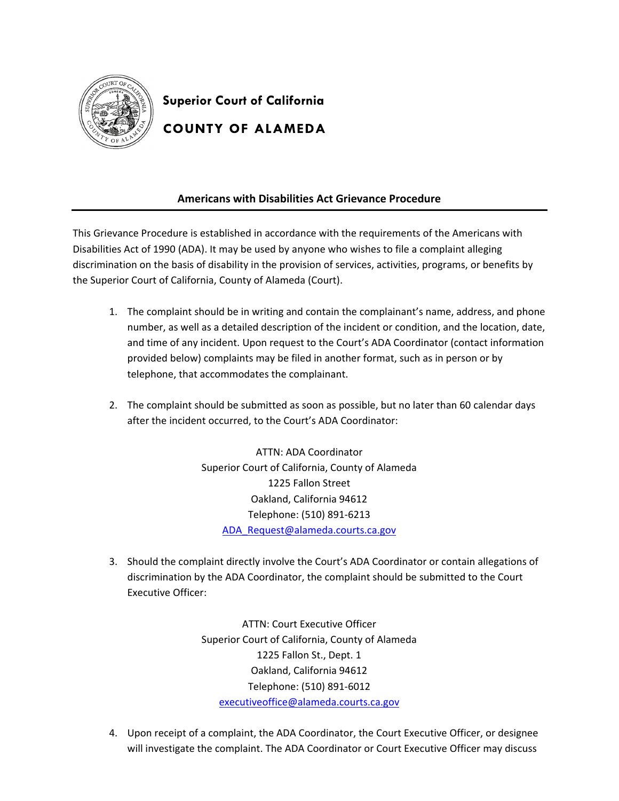

**Superior Court of California COUNTY OF ALAMEDA** 

## **Americans with Disabilities Act Grievance Procedure**

This Grievance Procedure is established in accordance with the requirements of the Americans with Disabilities Act of 1990 (ADA). It may be used by anyone who wishes to file a complaint alleging discrimination on the basis of disability in the provision of services, activities, programs, or benefits by the Superior Court of California, County of Alameda (Court).

- 1. The complaint should be in writing and contain the complainant's name, address, and phone number, as well as a detailed description of the incident or condition, and the location, date, and time of any incident. Upon request to the Court's ADA Coordinator (contact information provided below) complaints may be filed in another format, such as in person or by telephone, that accommodates the complainant.
- 2. The complaint should be submitted as soon as possible, but no later than 60 calendar days after the incident occurred, to the Court's ADA Coordinator:

ATTN: ADA Coordinator Superior Court of California, County of Alameda 1225 Fallon Street Oakland, California 94612 Telephone: (510) 891-6213 ADA\_Request@alameda.courts.ca.gov

3. Should the complaint directly involve the Court's ADA Coordinator or contain allegations of discrimination by the ADA Coordinator, the complaint should be submitted to the Court Executive Officer:

> ATTN: Court Executive Officer Superior Court of California, County of Alameda 1225 Fallon St., Dept. 1 Oakland, California 94612 Telephone: (510) 891-6012 executiveoffice@alameda.courts.ca.gov

4. Upon receipt of a complaint, the ADA Coordinator, the Court Executive Officer, or designee will investigate the complaint. The ADA Coordinator or Court Executive Officer may discuss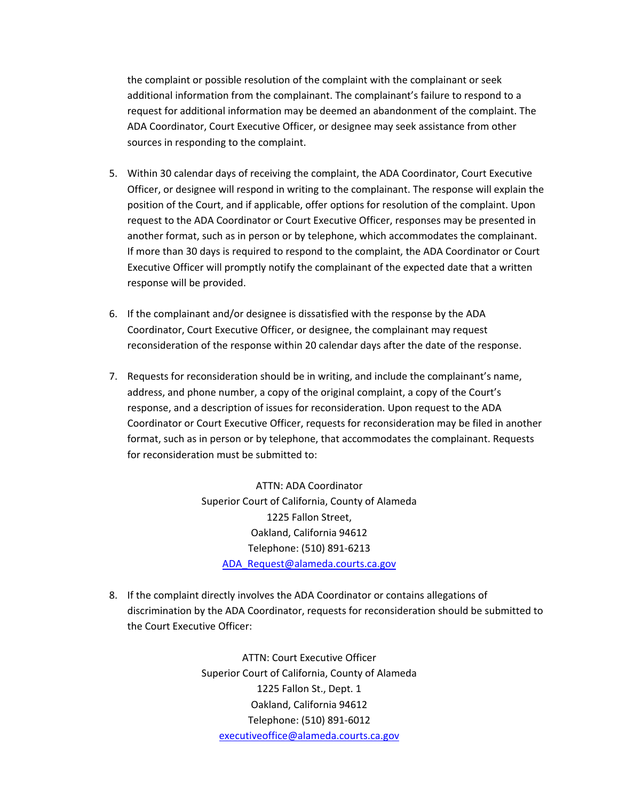the complaint or possible resolution of the complaint with the complainant or seek additional information from the complainant. The complainant's failure to respond to a request for additional information may be deemed an abandonment of the complaint. The ADA Coordinator, Court Executive Officer, or designee may seek assistance from other sources in responding to the complaint.

- 5. Within 30 calendar days of receiving the complaint, the ADA Coordinator, Court Executive Officer, or designee will respond in writing to the complainant. The response will explain the position of the Court, and if applicable, offer options for resolution of the complaint. Upon request to the ADA Coordinator or Court Executive Officer, responses may be presented in another format, such as in person or by telephone, which accommodates the complainant. If more than 30 days is required to respond to the complaint, the ADA Coordinator or Court Executive Officer will promptly notify the complainant of the expected date that a written response will be provided.
- 6. If the complainant and/or designee is dissatisfied with the response by the ADA Coordinator, Court Executive Officer, or designee, the complainant may request reconsideration of the response within 20 calendar days after the date of the response.
- 7. Requests for reconsideration should be in writing, and include the complainant's name, address, and phone number, a copy of the original complaint, a copy of the Court's response, and a description of issues for reconsideration. Upon request to the ADA Coordinator or Court Executive Officer, requests for reconsideration may be filed in another format, such as in person or by telephone, that accommodates the complainant. Requests for reconsideration must be submitted to:

ATTN: ADA Coordinator Superior Court of California, County of Alameda 1225 Fallon Street, Oakland, California 94612 Telephone: (510) 891-6213 ADA\_Request@alameda.courts.ca.gov

8. If the complaint directly involves the ADA Coordinator or contains allegations of discrimination by the ADA Coordinator, requests for reconsideration should be submitted to the Court Executive Officer:

> ATTN: Court Executive Officer Superior Court of California, County of Alameda 1225 Fallon St., Dept. 1 Oakland, California 94612 Telephone: (510) 891-6012 executiveoffice@alameda.courts.ca.gov